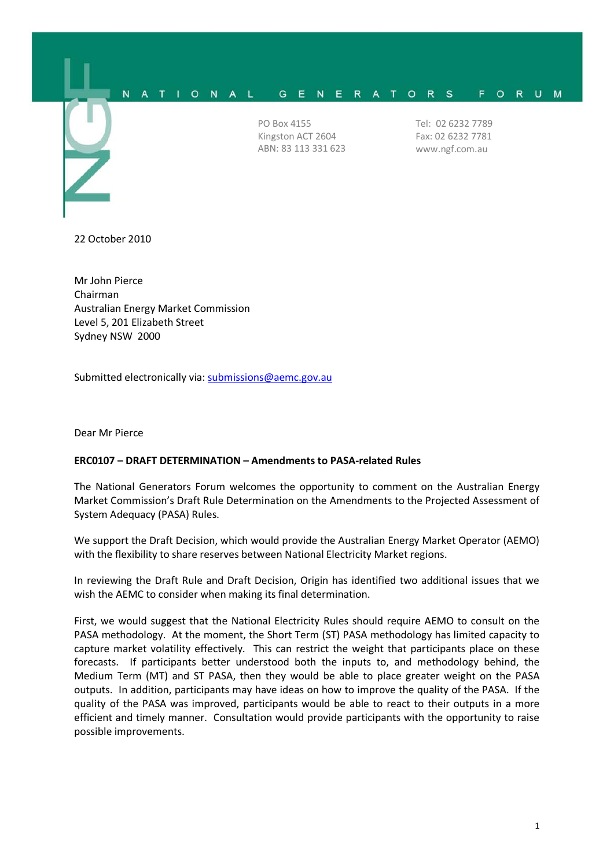

22 October 2010

Mr John Pierce Chairman Australian Energy Market Commission Level 5, 201 Elizabeth Street Sydney NSW 2000

Submitted electronically via: [submissions@aemc.gov.au](mailto:submissions@aemc.gov.au)

Dear Mr Pierce

## **ERC0107 – DRAFT DETERMINATION – Amendments to PASA-related Rules**

The National Generators Forum welcomes the opportunity to comment on the Australian Energy Market Commission's Draft Rule Determination on the Amendments to the Projected Assessment of System Adequacy (PASA) Rules.

We support the Draft Decision, which would provide the Australian Energy Market Operator (AEMO) with the flexibility to share reserves between National Electricity Market regions.

In reviewing the Draft Rule and Draft Decision, Origin has identified two additional issues that we wish the AEMC to consider when making its final determination.

First, we would suggest that the National Electricity Rules should require AEMO to consult on the PASA methodology. At the moment, the Short Term (ST) PASA methodology has limited capacity to capture market volatility effectively. This can restrict the weight that participants place on these forecasts. If participants better understood both the inputs to, and methodology behind, the Medium Term (MT) and ST PASA, then they would be able to place greater weight on the PASA outputs. In addition, participants may have ideas on how to improve the quality of the PASA. If the quality of the PASA was improved, participants would be able to react to their outputs in a more efficient and timely manner. Consultation would provide participants with the opportunity to raise possible improvements.